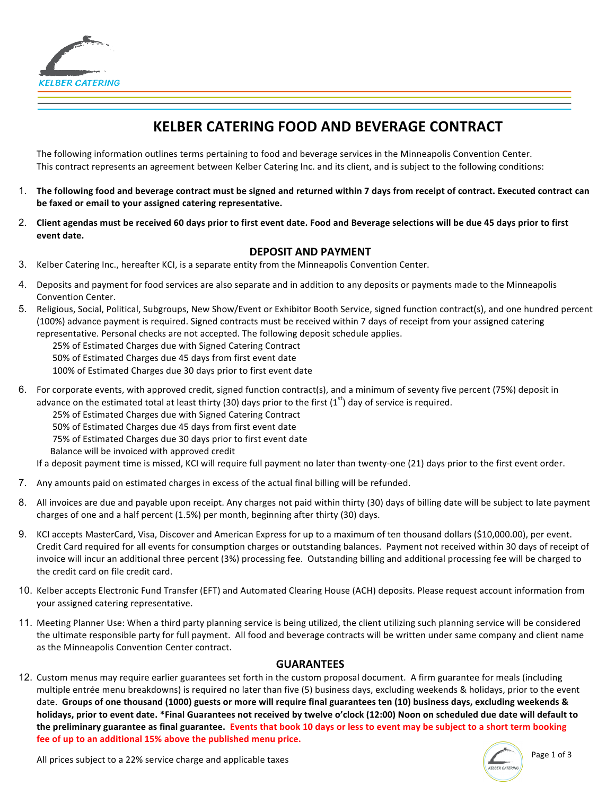

# **KELBER CATERING FOOD AND BEVERAGE CONTRACT**

The following information outlines terms pertaining to food and beverage services in the Minneapolis Convention Center. This contract represents an agreement between Kelber Catering Inc. and its client, and is subject to the following conditions:

- 1. The following food and beverage contract must be signed and returned within 7 days from receipt of contract. Executed contract can be faxed or email to your assigned catering representative.
- 2. Client agendas must be received 60 days prior to first event date. Food and Beverage selections will be due 45 days prior to first **event date.**

#### **DEPOSIT AND PAYMENT**

- 3. Kelber Catering Inc., hereafter KCI, is a separate entity from the Minneapolis Convention Center.
- 4. Deposits and payment for food services are also separate and in addition to any deposits or payments made to the Minneapolis Convention Center.
- 5. Religious, Social, Political, Subgroups, New Show/Event or Exhibitor Booth Service, signed function contract(s), and one hundred percent (100%) advance payment is required. Signed contracts must be received within 7 days of receipt from your assigned catering representative. Personal checks are not accepted. The following deposit schedule applies.

25% of Estimated Charges due with Signed Catering Contract

50% of Estimated Charges due 45 days from first event date

100% of Estimated Charges due 30 days prior to first event date

6. For corporate events, with approved credit, signed function contract(s), and a minimum of seventy five percent (75%) deposit in advance on the estimated total at least thirty (30) days prior to the first  $(1^{st})$  day of service is required.

25% of Estimated Charges due with Signed Catering Contract

50% of Estimated Charges due 45 days from first event date

75% of Estimated Charges due 30 days prior to first event date

Balance will be invoiced with approved credit

If a deposit payment time is missed, KCI will require full payment no later than twenty-one (21) days prior to the first event order.

- 7. Any amounts paid on estimated charges in excess of the actual final billing will be refunded.
- 8. All invoices are due and payable upon receipt. Any charges not paid within thirty (30) days of billing date will be subject to late payment charges of one and a half percent  $(1.5%)$  per month, beginning after thirty  $(30)$  days.
- 9. KCI accepts MasterCard, Visa, Discover and American Express for up to a maximum of ten thousand dollars (\$10,000.00), per event. Credit Card required for all events for consumption charges or outstanding balances. Payment not received within 30 days of receipt of invoice will incur an additional three percent (3%) processing fee. Outstanding billing and additional processing fee will be charged to the credit card on file credit card.
- 10. Kelber accepts Electronic Fund Transfer (EFT) and Automated Clearing House (ACH) deposits. Please request account information from your assigned catering representative.
- 11. Meeting Planner Use: When a third party planning service is being utilized, the client utilizing such planning service will be considered the ultimate responsible party for full payment. All food and beverage contracts will be written under same company and client name as the Minneapolis Convention Center contract.

## **GUARANTEES**

12. Custom menus may require earlier guarantees set forth in the custom proposal document. A firm guarantee for meals (including multiple entrée menu breakdowns) is required no later than five (5) business days, excluding weekends & holidays, prior to the event date. Groups of one thousand (1000) guests or more will require final guarantees ten (10) business days, excluding weekends & holidays, prior to event date. \*Final Guarantees not received by twelve o'clock (12:00) Noon on scheduled due date will default to the preliminary guarantee as final guarantee. Events that book 10 days or less to event may be subject to a short term booking fee of up to an additional 15% above the published menu price.

Page 1 of 3

All prices subject to a 22% service charge and applicable taxes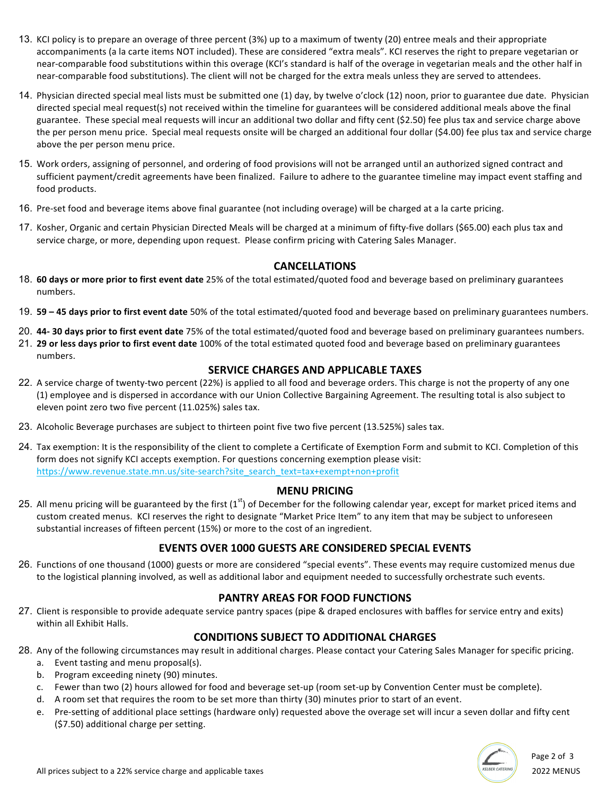- 13. KCI policy is to prepare an overage of three percent (3%) up to a maximum of twenty (20) entree meals and their appropriate accompaniments (a la carte items NOT included). These are considered "extra meals". KCI reserves the right to prepare vegetarian or near-comparable food substitutions within this overage (KCI's standard is half of the overage in vegetarian meals and the other half in near-comparable food substitutions). The client will not be charged for the extra meals unless they are served to attendees.
- 14. Physician directed special meal lists must be submitted one (1) day, by twelve o'clock (12) noon, prior to guarantee due date. Physician directed special meal request(s) not received within the timeline for guarantees will be considered additional meals above the final guarantee. These special meal requests will incur an additional two dollar and fifty cent (\$2.50) fee plus tax and service charge above the per person menu price. Special meal requests onsite will be charged an additional four dollar (\$4.00) fee plus tax and service charge above the per person menu price.
- 15. Work orders, assigning of personnel, and ordering of food provisions will not be arranged until an authorized signed contract and sufficient payment/credit agreements have been finalized. Failure to adhere to the guarantee timeline may impact event staffing and food products.
- 16. Pre-set food and beverage items above final guarantee (not including overage) will be charged at a la carte pricing.
- 17. Kosher, Organic and certain Physician Directed Meals will be charged at a minimum of fifty-five dollars (\$65.00) each plus tax and service charge, or more, depending upon request. Please confirm pricing with Catering Sales Manager.

## **CANCELLATIONS**

- 18. 60 days or more prior to first event date 25% of the total estimated/quoted food and beverage based on preliminary guarantees numbers.
- 19. **59 -45 days prior to first event date** 50% of the total estimated/quoted food and beverage based on preliminary guarantees numbers.
- 20. 44-30 days prior to first event date 75% of the total estimated/quoted food and beverage based on preliminary guarantees numbers.
- 21. 29 or less days prior to first event date 100% of the total estimated quoted food and beverage based on preliminary guarantees numbers.

## **SERVICE CHARGES AND APPLICABLE TAXES**

- 22. A service charge of twenty-two percent (22%) is applied to all food and beverage orders. This charge is not the property of any one (1) employee and is dispersed in accordance with our Union Collective Bargaining Agreement. The resulting total is also subject to eleven point zero two five percent (11.025%) sales tax.
- 23. Alcoholic Beverage purchases are subject to thirteen point five two five percent (13.525%) sales tax.
- 24. Tax exemption: It is the responsibility of the client to complete a Certificate of Exemption Form and submit to KCI. Completion of this form does not signify KCI accepts exemption. For questions concerning exemption please visit: https://www.revenue.state.mn.us/site-search?site\_search\_text=tax+exempt+non+profit

## **MENU PRICING**

25. All menu pricing will be guaranteed by the first  $(1^{st})$  of December for the following calendar year, except for market priced items and custom created menus. KCI reserves the right to designate "Market Price Item" to any item that may be subject to unforeseen substantial increases of fifteen percent (15%) or more to the cost of an ingredient.

## **EVENTS OVER 1000 GUESTS ARE CONSIDERED SPECIAL EVENTS**

26. Functions of one thousand (1000) guests or more are considered "special events". These events may require customized menus due to the logistical planning involved, as well as additional labor and equipment needed to successfully orchestrate such events.

## **PANTRY AREAS FOR FOOD FUNCTIONS**

27. Client is responsible to provide adequate service pantry spaces (pipe & draped enclosures with baffles for service entry and exits) within all Exhibit Halls.

## **CONDITIONS SUBJECT TO ADDITIONAL CHARGES**

- 28. Any of the following circumstances may result in additional charges. Please contact your Catering Sales Manager for specific pricing.
	- a. Event tasting and menu proposal(s).
	- b. Program exceeding ninety (90) minutes.
	- c. Fewer than two (2) hours allowed for food and beverage set-up (room set-up by Convention Center must be complete).
	- d. A room set that requires the room to be set more than thirty (30) minutes prior to start of an event.
	- e. Pre-setting of additional place settings (hardware only) requested above the overage set will incur a seven dollar and fifty cent (\$7.50) additional charge per setting.